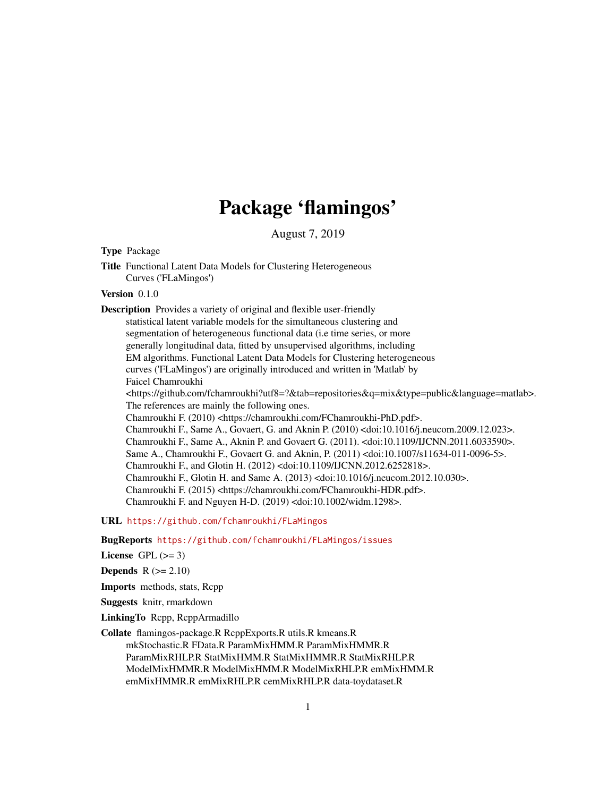# Package 'flamingos'

August 7, 2019

# Type Package

Title Functional Latent Data Models for Clustering Heterogeneous Curves ('FLaMingos')

#### Version 0.1.0

Description Provides a variety of original and flexible user-friendly statistical latent variable models for the simultaneous clustering and segmentation of heterogeneous functional data (i.e time series, or more generally longitudinal data, fitted by unsupervised algorithms, including EM algorithms. Functional Latent Data Models for Clustering heterogeneous curves ('FLaMingos') are originally introduced and written in 'Matlab' by Faicel Chamroukhi <https://github.com/fchamroukhi?utf8=?&tab=repositories&q=mix&type=public&language=matlab>. The references are mainly the following ones. Chamroukhi F. (2010) <https://chamroukhi.com/FChamroukhi-PhD.pdf>. Chamroukhi F., Same A., Govaert, G. and Aknin P. (2010) <doi:10.1016/j.neucom.2009.12.023>. Chamroukhi F., Same A., Aknin P. and Govaert G. (2011). <doi:10.1109/IJCNN.2011.6033590>. Same A., Chamroukhi F., Govaert G. and Aknin, P. (2011) <doi:10.1007/s11634-011-0096-5>. Chamroukhi F., and Glotin H. (2012) <doi:10.1109/IJCNN.2012.6252818>. Chamroukhi F., Glotin H. and Same A. (2013) <doi:10.1016/j.neucom.2012.10.030>. Chamroukhi F. (2015) <https://chamroukhi.com/FChamroukhi-HDR.pdf>. Chamroukhi F. and Nguyen H-D. (2019) <doi:10.1002/widm.1298>.

URL <https://github.com/fchamroukhi/FLaMingos>

BugReports <https://github.com/fchamroukhi/FLaMingos/issues>

License GPL  $(>= 3)$ 

**Depends**  $R$  ( $>= 2.10$ )

Imports methods, stats, Rcpp

Suggests knitr, rmarkdown

LinkingTo Rcpp, RcppArmadillo

Collate flamingos-package.R RcppExports.R utils.R kmeans.R

mkStochastic.R FData.R ParamMixHMM.R ParamMixHMMR.R ParamMixRHLP.R StatMixHMM.R StatMixHMMR.R StatMixRHLP.R ModelMixHMMR.R ModelMixHMM.R ModelMixRHLP.R emMixHMM.R emMixHMMR.R emMixRHLP.R cemMixRHLP.R data-toydataset.R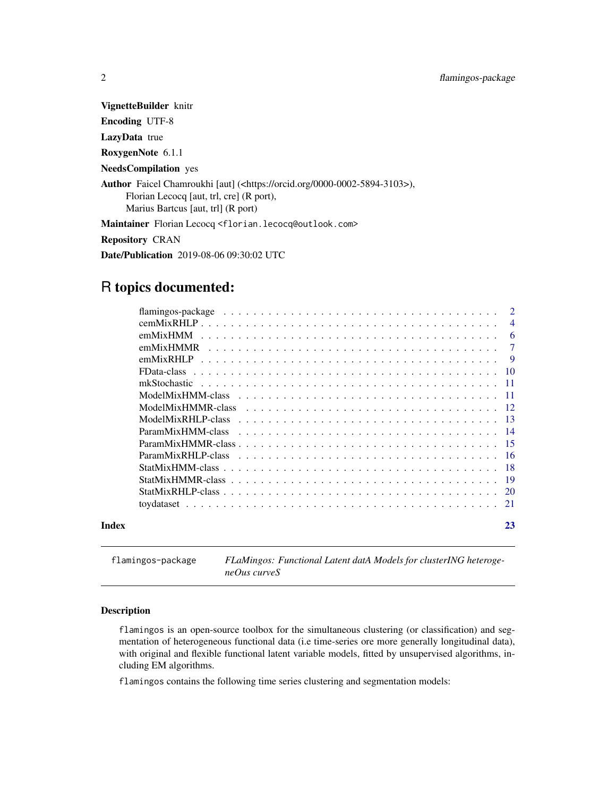<span id="page-1-0"></span>VignetteBuilder knitr

Encoding UTF-8

LazyData true

RoxygenNote 6.1.1

NeedsCompilation yes

Author Faicel Chamroukhi [aut] (<https://orcid.org/0000-0002-5894-3103>), Florian Lecocq [aut, trl, cre] (R port), Marius Bartcus [aut, trl] (R port)

Maintainer Florian Lecocq <florian.lecocq@outlook.com>

Repository CRAN

Date/Publication 2019-08-06 09:30:02 UTC

# R topics documented:

|       |           | $\overline{\mathcal{A}}$ |
|-------|-----------|--------------------------|
|       | emMixHMM  | 6                        |
|       | emMixHMMR | $\tau$                   |
|       | emMixRHLP | -9                       |
|       |           |                          |
|       |           |                          |
|       |           |                          |
|       |           |                          |
|       |           |                          |
|       |           |                          |
|       |           |                          |
|       |           |                          |
|       |           |                          |
|       | -19       |                          |
|       |           |                          |
|       |           |                          |
| Index | 23        |                          |

flamingos-package *FLaMingos: Functional Latent datA Models for clusterING heterogeneOus curveS*

#### Description

flamingos is an open-source toolbox for the simultaneous clustering (or classification) and segmentation of heterogeneous functional data (i.e time-series ore more generally longitudinal data), with original and flexible functional latent variable models, fitted by unsupervised algorithms, including EM algorithms.

flamingos contains the following time series clustering and segmentation models: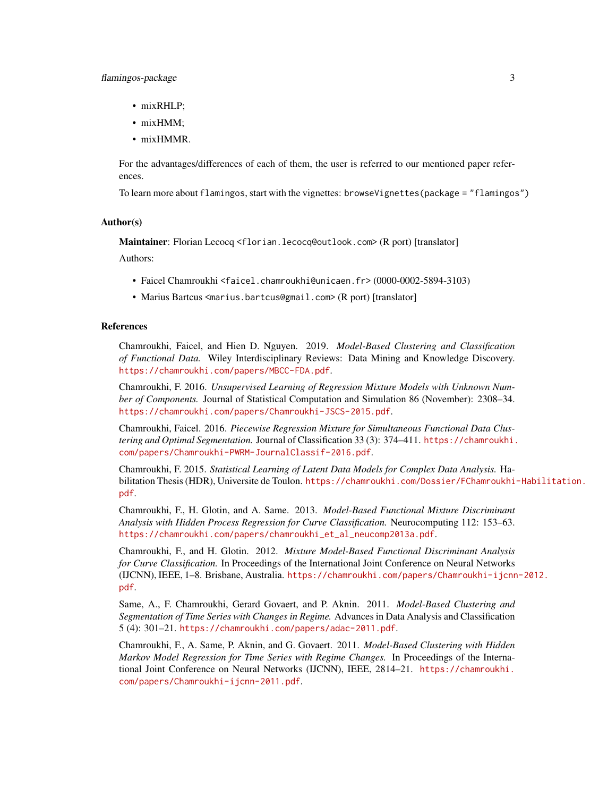# flamingos-package 3

- mixRHLP;
- mixHMM:
- mixHMMR.

For the advantages/differences of each of them, the user is referred to our mentioned paper references.

To learn more about flamingos, start with the vignettes: browseVignettes(package = "flamingos")

#### Author(s)

Maintainer: Florian Lecocq <florian.lecocq@outlook.com> (R port) [translator]

Authors:

- Faicel Chamroukhi <faicel.chamroukhi@unicaen.fr> (0000-0002-5894-3103)
- Marius Bartcus <marius.bartcus@gmail.com> (R port) [translator]

### References

Chamroukhi, Faicel, and Hien D. Nguyen. 2019. *Model-Based Clustering and Classification of Functional Data.* Wiley Interdisciplinary Reviews: Data Mining and Knowledge Discovery. <https://chamroukhi.com/papers/MBCC-FDA.pdf>.

Chamroukhi, F. 2016. *Unsupervised Learning of Regression Mixture Models with Unknown Number of Components.* Journal of Statistical Computation and Simulation 86 (November): 2308–34. <https://chamroukhi.com/papers/Chamroukhi-JSCS-2015.pdf>.

Chamroukhi, Faicel. 2016. *Piecewise Regression Mixture for Simultaneous Functional Data Clustering and Optimal Segmentation.* Journal of Classification 33 (3): 374–411. [https://chamroukhi.](https://chamroukhi.com/papers/Chamroukhi-PWRM-JournalClassif-2016.pdf) [com/papers/Chamroukhi-PWRM-JournalClassif-2016.pdf](https://chamroukhi.com/papers/Chamroukhi-PWRM-JournalClassif-2016.pdf).

Chamroukhi, F. 2015. *Statistical Learning of Latent Data Models for Complex Data Analysis.* Habilitation Thesis (HDR), Universite de Toulon. [https://chamroukhi.com/Dossier/FChamroukhi](https://chamroukhi.com/Dossier/FChamroukhi-Habilitation.pdf)-Habilitation. [pdf](https://chamroukhi.com/Dossier/FChamroukhi-Habilitation.pdf).

Chamroukhi, F., H. Glotin, and A. Same. 2013. *Model-Based Functional Mixture Discriminant Analysis with Hidden Process Regression for Curve Classification.* Neurocomputing 112: 153–63. [https://chamroukhi.com/papers/chamroukhi\\_et\\_al\\_neucomp2013a.pdf](https://chamroukhi.com/papers/chamroukhi_et_al_neucomp2013a.pdf).

Chamroukhi, F., and H. Glotin. 2012. *Mixture Model-Based Functional Discriminant Analysis for Curve Classification.* In Proceedings of the International Joint Conference on Neural Networks (IJCNN), IEEE, 1–8. Brisbane, Australia. [https://chamroukhi.com/papers/Chamroukhi-ijcnn](https://chamroukhi.com/papers/Chamroukhi-ijcnn-2012.pdf)-2012. [pdf](https://chamroukhi.com/papers/Chamroukhi-ijcnn-2012.pdf).

Same, A., F. Chamroukhi, Gerard Govaert, and P. Aknin. 2011. *Model-Based Clustering and Segmentation of Time Series with Changes in Regime.* Advances in Data Analysis and Classification 5 (4): 301–21. <https://chamroukhi.com/papers/adac-2011.pdf>.

Chamroukhi, F., A. Same, P. Aknin, and G. Govaert. 2011. *Model-Based Clustering with Hidden Markov Model Regression for Time Series with Regime Changes.* In Proceedings of the International Joint Conference on Neural Networks (IJCNN), IEEE, 2814–21. [https://chamroukhi.](https://chamroukhi.com/papers/Chamroukhi-ijcnn-2011.pdf) [com/papers/Chamroukhi-ijcnn-2011.pdf](https://chamroukhi.com/papers/Chamroukhi-ijcnn-2011.pdf).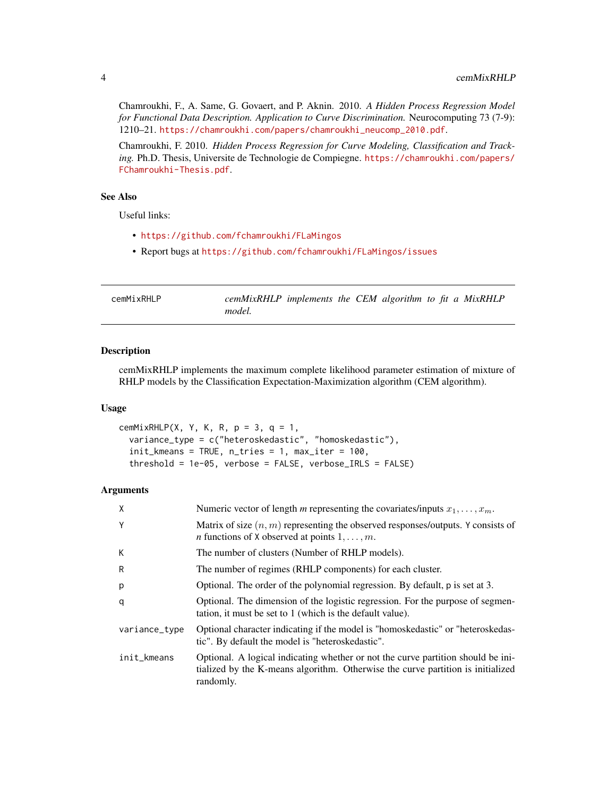<span id="page-3-0"></span>Chamroukhi, F., A. Same, G. Govaert, and P. Aknin. 2010. *A Hidden Process Regression Model for Functional Data Description. Application to Curve Discrimination.* Neurocomputing 73 (7-9): 1210–21. [https://chamroukhi.com/papers/chamroukhi\\_neucomp\\_2010.pdf](https://chamroukhi.com/papers/chamroukhi_neucomp_2010.pdf).

Chamroukhi, F. 2010. *Hidden Process Regression for Curve Modeling, Classification and Tracking.* Ph.D. Thesis, Universite de Technologie de Compiegne. [https://chamroukhi.com/papers/](https://chamroukhi.com/papers/FChamroukhi-Thesis.pdf) [FChamroukhi-Thesis.pdf](https://chamroukhi.com/papers/FChamroukhi-Thesis.pdf).

# See Also

Useful links:

- <https://github.com/fchamroukhi/FLaMingos>
- Report bugs at <https://github.com/fchamroukhi/FLaMingos/issues>

| cemMixRHLP | cemMixRHLP implements the CEM algorithm to fit a MixRHLP |  |  |  |  |
|------------|----------------------------------------------------------|--|--|--|--|
|            | model.                                                   |  |  |  |  |

# Description

cemMixRHLP implements the maximum complete likelihood parameter estimation of mixture of RHLP models by the Classification Expectation-Maximization algorithm (CEM algorithm).

#### Usage

```
cemMixRHLP(X, Y, K, R, p = 3, q = 1,
  variance_type = c("heteroskedastic", "homoskedastic"),
  init_{\text{Kmeans}} = \text{TRUE}, n_{\text{tries}} = 1, \text{ max\_iter} = 100,threshold = 1e-05, verbose = FALSE, verbose_IRLS = FALSE)
```
# Arguments

| X             | Numeric vector of length m representing the covariates/inputs $x_1, \ldots, x_m$ .                                                                                               |
|---------------|----------------------------------------------------------------------------------------------------------------------------------------------------------------------------------|
| Υ             | Matrix of size $(n, m)$ representing the observed responses/outputs. Y consists of<br><i>n</i> functions of X observed at points $1, \ldots, m$ .                                |
| К             | The number of clusters (Number of RHLP models).                                                                                                                                  |
| R             | The number of regimes (RHLP components) for each cluster.                                                                                                                        |
| p             | Optional. The order of the polynomial regression. By default, p is set at 3.                                                                                                     |
| q             | Optional. The dimension of the logistic regression. For the purpose of segmen-<br>tation, it must be set to 1 (which is the default value).                                      |
| variance_type | Optional character indicating if the model is "homoskedastic" or "heteroskedas-<br>tic". By default the model is "heteroskedastic".                                              |
| init_kmeans   | Optional. A logical indicating whether or not the curve partition should be ini-<br>tialized by the K-means algorithm. Otherwise the curve partition is initialized<br>randomly. |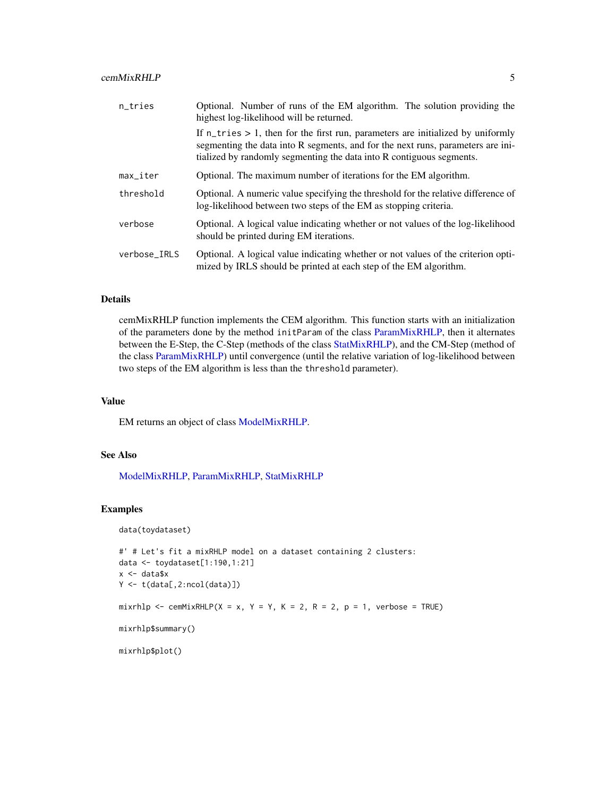<span id="page-4-0"></span>

| n_tries                | Optional. Number of runs of the EM algorithm. The solution providing the<br>highest log-likelihood will be returned.                                                                                                                                   |  |  |  |  |  |
|------------------------|--------------------------------------------------------------------------------------------------------------------------------------------------------------------------------------------------------------------------------------------------------|--|--|--|--|--|
|                        | If $n_{\text{tries}} > 1$ , then for the first run, parameters are initialized by uniformly<br>segmenting the data into R segments, and for the next runs, parameters are ini-<br>tialized by randomly segmenting the data into R contiguous segments. |  |  |  |  |  |
| $max$ <sub>Liter</sub> | Optional. The maximum number of iterations for the EM algorithm.                                                                                                                                                                                       |  |  |  |  |  |
| threshold              | Optional. A numeric value specifying the threshold for the relative difference of<br>log-likelihood between two steps of the EM as stopping criteria.                                                                                                  |  |  |  |  |  |
| verbose                | Optional. A logical value indicating whether or not values of the log-likelihood<br>should be printed during EM iterations.                                                                                                                            |  |  |  |  |  |
| verbose_IRLS           | Optional. A logical value indicating whether or not values of the criterion opti-<br>mized by IRLS should be printed at each step of the EM algorithm.                                                                                                 |  |  |  |  |  |

# Details

cemMixRHLP function implements the CEM algorithm. This function starts with an initialization of the parameters done by the method initParam of the class [ParamMixRHLP,](#page-15-1) then it alternates between the E-Step, the C-Step (methods of the class [StatMixRHLP\)](#page-19-1), and the CM-Step (method of the class [ParamMixRHLP\)](#page-15-1) until convergence (until the relative variation of log-likelihood between two steps of the EM algorithm is less than the threshold parameter).

# Value

EM returns an object of class [ModelMixRHLP.](#page-12-1)

# See Also

[ModelMixRHLP,](#page-12-1) [ParamMixRHLP,](#page-15-1) [StatMixRHLP](#page-19-1)

# Examples

data(toydataset)

```
#' # Let's fit a mixRHLP model on a dataset containing 2 clusters:
data <- toydataset[1:190,1:21]
x <- data$x
Y \leftarrow t(data[, 2:ncol(data)]mixrhlp <- cemMixRHLP(X = x, Y = Y, K = 2, R = 2, p = 1, verbose = TRUE)
```
mixrhlp\$summary()

mixrhlp\$plot()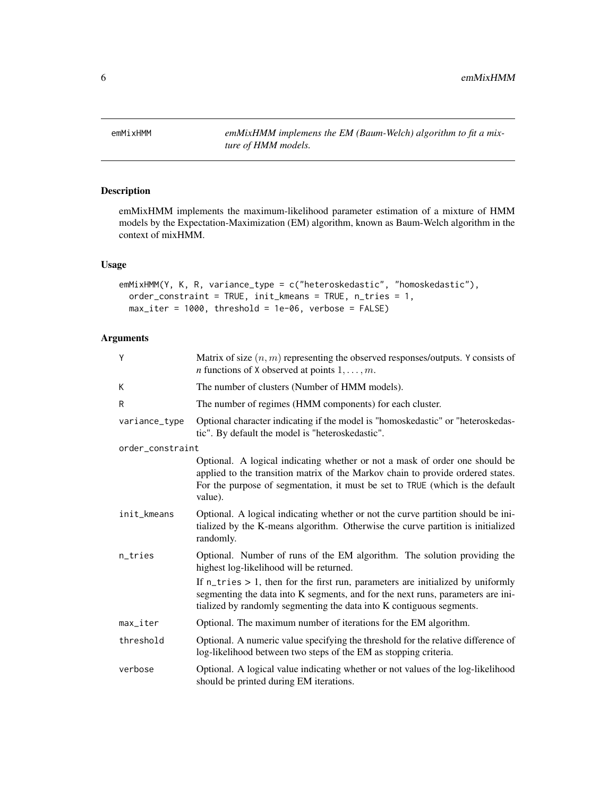<span id="page-5-0"></span>

# Description

emMixHMM implements the maximum-likelihood parameter estimation of a mixture of HMM models by the Expectation-Maximization (EM) algorithm, known as Baum-Welch algorithm in the context of mixHMM.

# Usage

```
emMixHMM(Y, K, R, variance_type = c("heteroskedastic", "homoskedastic"),
 order_constraint = TRUE, init_kmeans = TRUE, n_tries = 1,
 max\_iter = 1000, threshold = 1e-06, verbose = FALSE)
```
# Arguments

| Y                | Matrix of size $(n, m)$ representing the observed responses/outputs. Y consists of<br><i>n</i> functions of X observed at points $1, \ldots, m$ .                                                                                                          |
|------------------|------------------------------------------------------------------------------------------------------------------------------------------------------------------------------------------------------------------------------------------------------------|
| K                | The number of clusters (Number of HMM models).                                                                                                                                                                                                             |
| R                | The number of regimes (HMM components) for each cluster.                                                                                                                                                                                                   |
| variance_type    | Optional character indicating if the model is "homoskedastic" or "heteroskedas-<br>tic". By default the model is "heteroskedastic".                                                                                                                        |
| order_constraint |                                                                                                                                                                                                                                                            |
|                  | Optional. A logical indicating whether or not a mask of order one should be<br>applied to the transition matrix of the Markov chain to provide ordered states.<br>For the purpose of segmentation, it must be set to TRUE (which is the default<br>value). |
| init_kmeans      | Optional. A logical indicating whether or not the curve partition should be ini-<br>tialized by the K-means algorithm. Otherwise the curve partition is initialized<br>randomly.                                                                           |
| n_tries          | Optional. Number of runs of the EM algorithm. The solution providing the<br>highest log-likelihood will be returned.                                                                                                                                       |
|                  | If $n_{\text{tries}} > 1$ , then for the first run, parameters are initialized by uniformly<br>segmenting the data into K segments, and for the next runs, parameters are ini-<br>tialized by randomly segmenting the data into K contiguous segments.     |
| max_iter         | Optional. The maximum number of iterations for the EM algorithm.                                                                                                                                                                                           |
| threshold        | Optional. A numeric value specifying the threshold for the relative difference of<br>log-likelihood between two steps of the EM as stopping criteria.                                                                                                      |
| verbose          | Optional. A logical value indicating whether or not values of the log-likelihood<br>should be printed during EM iterations.                                                                                                                                |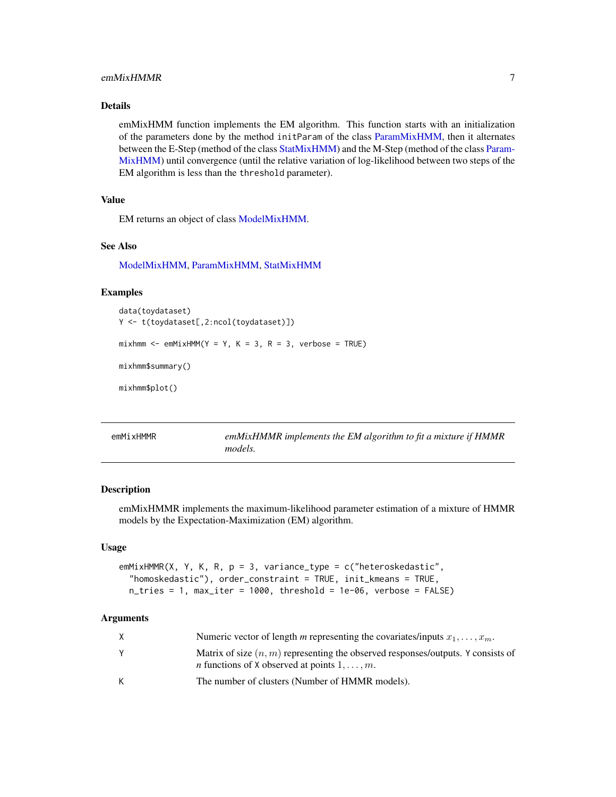# <span id="page-6-0"></span>emMixHMMR 7

# Details

emMixHMM function implements the EM algorithm. This function starts with an initialization of the parameters done by the method initParam of the class [ParamMixHMM,](#page-13-1) then it alternates between the E-Step (method of the class [StatMixHMM\)](#page-17-1) and the M-Step (method of the class [Param-](#page-13-1)[MixHMM\)](#page-13-1) until convergence (until the relative variation of log-likelihood between two steps of the EM algorithm is less than the threshold parameter).

# Value

EM returns an object of class [ModelMixHMM.](#page-10-1)

#### See Also

[ModelMixHMM,](#page-10-1) [ParamMixHMM,](#page-13-1) [StatMixHMM](#page-17-1)

# Examples

```
data(toydataset)
Y <- t(toydataset[,2:ncol(toydataset)])
mixhmm < - emMixHMM(Y = Y, K = 3, R = 3, verbose = TRUE)
mixhmm$summary()
```
mixhmm\$plot()

emMixHMMR *emMixHMMR implements the EM algorithm to fit a mixture if HMMR models.*

# Description

emMixHMMR implements the maximum-likelihood parameter estimation of a mixture of HMMR models by the Expectation-Maximization (EM) algorithm.

# Usage

```
emMixHMMR(X, Y, K, R, p = 3, variance_type = c("heteroskedastic",
  "homoskedastic"), order_constraint = TRUE, init_kmeans = TRUE,
 n_tries = 1, max_iter = 1000, threshold = 1e-06, verbose = FALSE)
```
#### Arguments

| X. | Numeric vector of length m representing the covariates/inputs $x_1, \ldots, x_m$ .                                                                |
|----|---------------------------------------------------------------------------------------------------------------------------------------------------|
|    | Matrix of size $(n, m)$ representing the observed responses/outputs. Y consists of<br><i>n</i> functions of X observed at points $1, \ldots, m$ . |
| K  | The number of clusters (Number of HMMR models).                                                                                                   |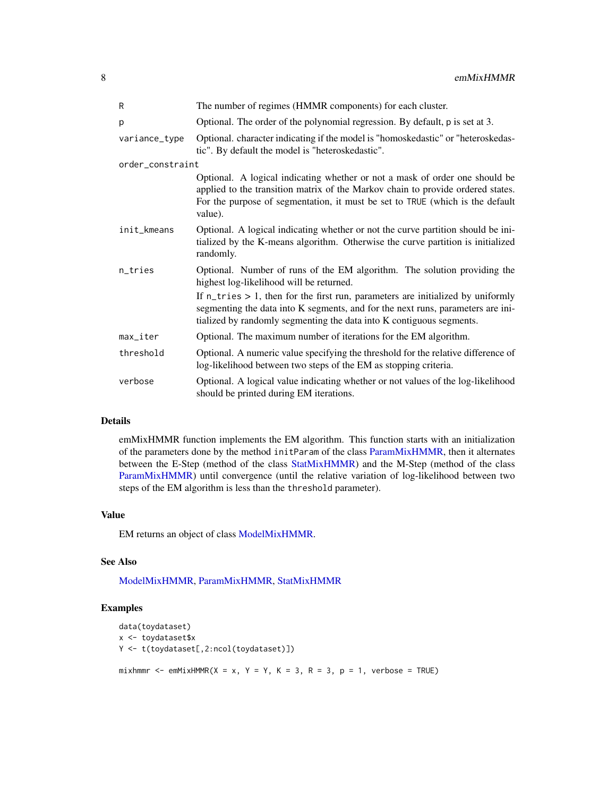<span id="page-7-0"></span>8 emMixHMMR

| R                      | The number of regimes (HMMR components) for each cluster.                                                                                                                                                                                                  |
|------------------------|------------------------------------------------------------------------------------------------------------------------------------------------------------------------------------------------------------------------------------------------------------|
| p                      | Optional. The order of the polynomial regression. By default, p is set at 3.                                                                                                                                                                               |
| variance_type          | Optional. character indicating if the model is "homoskedastic" or "heteroskedas-<br>tic". By default the model is "heteroskedastic".                                                                                                                       |
| order_constraint       |                                                                                                                                                                                                                                                            |
|                        | Optional. A logical indicating whether or not a mask of order one should be<br>applied to the transition matrix of the Markov chain to provide ordered states.<br>For the purpose of segmentation, it must be set to TRUE (which is the default<br>value). |
| init_kmeans            | Optional. A logical indicating whether or not the curve partition should be ini-<br>tialized by the K-means algorithm. Otherwise the curve partition is initialized<br>randomly.                                                                           |
| n_tries                | Optional. Number of runs of the EM algorithm. The solution providing the<br>highest log-likelihood will be returned.                                                                                                                                       |
|                        | If $n_{\text{tries}} > 1$ , then for the first run, parameters are initialized by uniformly<br>segmenting the data into K segments, and for the next runs, parameters are ini-<br>tialized by randomly segmenting the data into K contiguous segments.     |
| $max$ <sub>Liter</sub> | Optional. The maximum number of iterations for the EM algorithm.                                                                                                                                                                                           |
| threshold              | Optional. A numeric value specifying the threshold for the relative difference of<br>log-likelihood between two steps of the EM as stopping criteria.                                                                                                      |
| verbose                | Optional. A logical value indicating whether or not values of the log-likelihood<br>should be printed during EM iterations.                                                                                                                                |

# Details

emMixHMMR function implements the EM algorithm. This function starts with an initialization of the parameters done by the method initParam of the class [ParamMixHMMR,](#page-14-1) then it alternates between the E-Step (method of the class [StatMixHMMR\)](#page-18-1) and the M-Step (method of the class [ParamMixHMMR\)](#page-14-1) until convergence (until the relative variation of log-likelihood between two steps of the EM algorithm is less than the threshold parameter).

# Value

EM returns an object of class [ModelMixHMMR.](#page-11-1)

# See Also

[ModelMixHMMR,](#page-11-1) [ParamMixHMMR,](#page-14-1) [StatMixHMMR](#page-18-1)

# Examples

```
data(toydataset)
x <- toydataset$x
Y <- t(toydataset[,2:ncol(toydataset)])
mixhmmr <- emMixHMMR(X = x, Y = Y, K = 3, R = 3, p = 1, verbose = TRUE)
```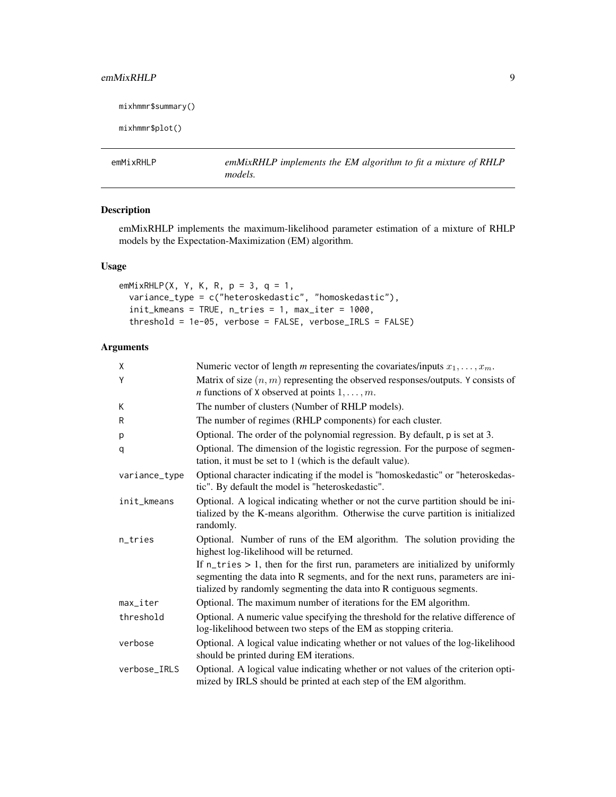# <span id="page-8-0"></span>emMixRHLP 9

```
mixhmmr$summary()
```
mixhmmr\$plot()

emMixRHLP *emMixRHLP implements the EM algorithm to fit a mixture of RHLP models.*

# Description

emMixRHLP implements the maximum-likelihood parameter estimation of a mixture of RHLP models by the Expectation-Maximization (EM) algorithm.

# Usage

```
emMixRHLP(X, Y, K, R, p = 3, q = 1,
  variance_type = c("heteroskedastic", "homoskedastic"),
  init_kmeans = TRUE, n_tries = 1, max_iter = 1000,
  threshold = 1e-05, verbose = FALSE, verbose_IRLS = FALSE)
```
# Arguments

| X                      | Numeric vector of length m representing the covariates/inputs $x_1, \ldots, x_m$ .                                                                                                                                                                     |
|------------------------|--------------------------------------------------------------------------------------------------------------------------------------------------------------------------------------------------------------------------------------------------------|
| Y                      | Matrix of size $(n, m)$ representing the observed responses/outputs. Y consists of<br><i>n</i> functions of X observed at points $1, \ldots, m$ .                                                                                                      |
| K                      | The number of clusters (Number of RHLP models).                                                                                                                                                                                                        |
| R                      | The number of regimes (RHLP components) for each cluster.                                                                                                                                                                                              |
| р                      | Optional. The order of the polynomial regression. By default, p is set at 3.                                                                                                                                                                           |
| q                      | Optional. The dimension of the logistic regression. For the purpose of segmen-<br>tation, it must be set to 1 (which is the default value).                                                                                                            |
| variance_type          | Optional character indicating if the model is "homoskedastic" or "heteroskedas-<br>tic". By default the model is "heteroskedastic".                                                                                                                    |
| init_kmeans            | Optional. A logical indicating whether or not the curve partition should be ini-<br>tialized by the K-means algorithm. Otherwise the curve partition is initialized<br>randomly.                                                                       |
| n_tries                | Optional. Number of runs of the EM algorithm. The solution providing the<br>highest log-likelihood will be returned.                                                                                                                                   |
|                        | If $n_{\text{tries}} > 1$ , then for the first run, parameters are initialized by uniformly<br>segmenting the data into R segments, and for the next runs, parameters are ini-<br>tialized by randomly segmenting the data into R contiguous segments. |
| $max$ <sub>Liter</sub> | Optional. The maximum number of iterations for the EM algorithm.                                                                                                                                                                                       |
| threshold              | Optional. A numeric value specifying the threshold for the relative difference of<br>log-likelihood between two steps of the EM as stopping criteria.                                                                                                  |
| verbose                | Optional. A logical value indicating whether or not values of the log-likelihood<br>should be printed during EM iterations.                                                                                                                            |
| verbose_IRLS           | Optional. A logical value indicating whether or not values of the criterion opti-<br>mized by IRLS should be printed at each step of the EM algorithm.                                                                                                 |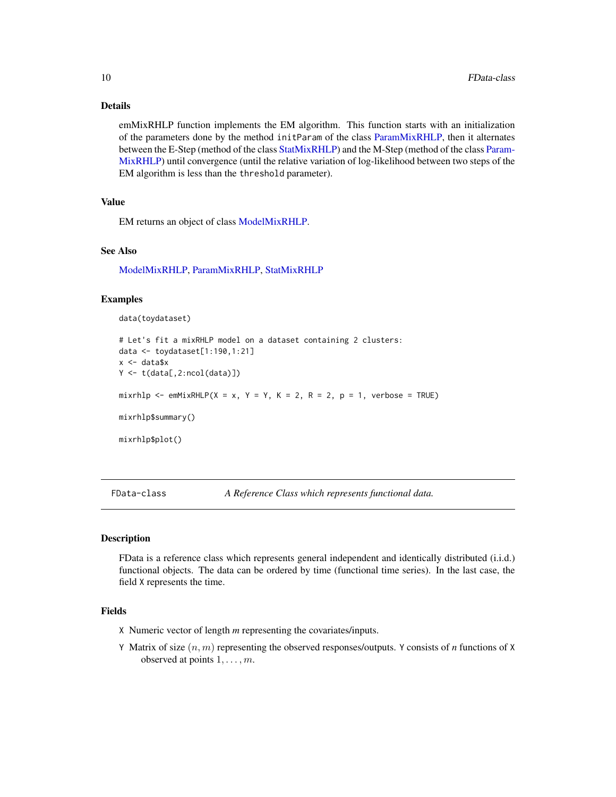# Details

emMixRHLP function implements the EM algorithm. This function starts with an initialization of the parameters done by the method initParam of the class [ParamMixRHLP,](#page-15-1) then it alternates between the E-Step (method of the class [StatMixRHLP\)](#page-19-1) and the M-Step (method of the class [Param-](#page-15-1)[MixRHLP\)](#page-15-1) until convergence (until the relative variation of log-likelihood between two steps of the EM algorithm is less than the threshold parameter).

# Value

EM returns an object of class [ModelMixRHLP.](#page-12-1)

#### See Also

[ModelMixRHLP,](#page-12-1) [ParamMixRHLP,](#page-15-1) [StatMixRHLP](#page-19-1)

# Examples

```
data(toydataset)
```

```
# Let's fit a mixRHLP model on a dataset containing 2 clusters:
data <- toydataset[1:190,1:21]
x <- data$x
Y \leftarrow t(data[, 2:ncol(data)]mixrhlp <- emMixRHLP(X = x, Y = Y, K = 2, R = 2, p = 1, verbose = TRUE)
mixrhlp$summary()
mixrhlp$plot()
```
FData-class *A Reference Class which represents functional data.*

# <span id="page-9-1"></span>Description

FData is a reference class which represents general independent and identically distributed (i.i.d.) functional objects. The data can be ordered by time (functional time series). In the last case, the field X represents the time.

# Fields

- X Numeric vector of length *m* representing the covariates/inputs.
- Y Matrix of size (n, m) representing the observed responses/outputs. Y consists of *n* functions of X observed at points  $1, \ldots, m$ .

<span id="page-9-0"></span>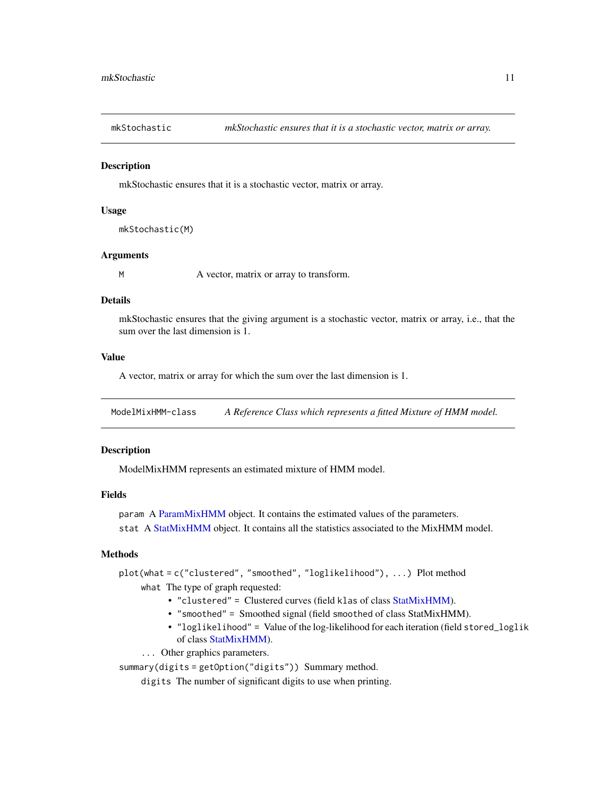<span id="page-10-0"></span>

# **Description**

mkStochastic ensures that it is a stochastic vector, matrix or array.

# Usage

```
mkStochastic(M)
```
# Arguments

M A vector, matrix or array to transform.

#### Details

mkStochastic ensures that the giving argument is a stochastic vector, matrix or array, i.e., that the sum over the last dimension is 1.

# Value

A vector, matrix or array for which the sum over the last dimension is 1.

ModelMixHMM-class *A Reference Class which represents a fitted Mixture of HMM model.*

# <span id="page-10-1"></span>**Description**

ModelMixHMM represents an estimated mixture of HMM model.

# Fields

param A [ParamMixHMM](#page-13-1) object. It contains the estimated values of the parameters. stat A [StatMixHMM](#page-17-1) object. It contains all the statistics associated to the MixHMM model.

# Methods

plot(what = c("clustered", "smoothed", "loglikelihood"), ...) Plot method

what The type of graph requested:

- "clustered" = Clustered curves (field klas of class [StatMixHMM\)](#page-17-1).
- "smoothed" = Smoothed signal (field smoothed of class StatMixHMM).
- "loglikelihood" = Value of the log-likelihood for each iteration (field stored\_loglik of class [StatMixHMM\)](#page-17-1).
- ... Other graphics parameters.

summary(digits = getOption("digits")) Summary method.

digits The number of significant digits to use when printing.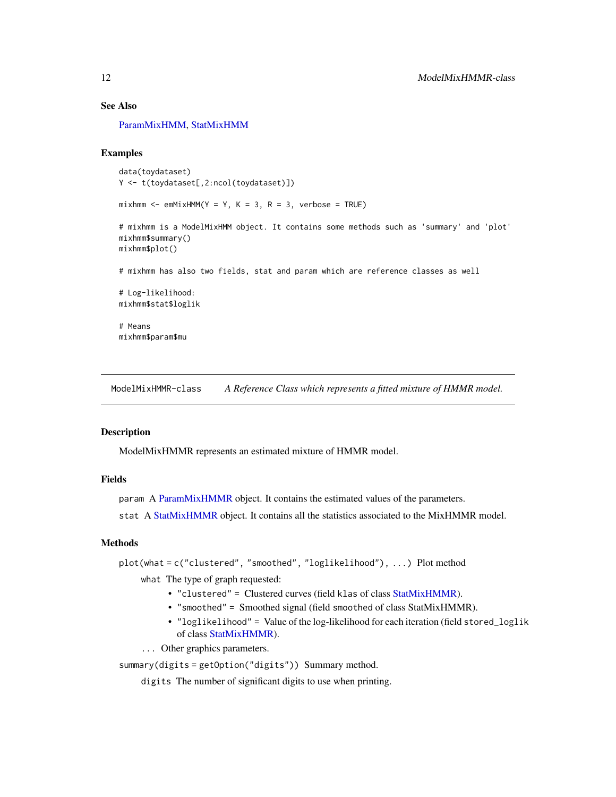<span id="page-11-0"></span>[ParamMixHMM,](#page-13-1) [StatMixHMM](#page-17-1)

# Examples

```
data(toydataset)
Y <- t(toydataset[,2:ncol(toydataset)])
mixhmm < - emMixHMM(Y = Y, K = 3, R = 3, verbose = TRUE)
# mixhmm is a ModelMixHMM object. It contains some methods such as 'summary' and 'plot'
mixhmm$summary()
mixhmm$plot()
# mixhmm has also two fields, stat and param which are reference classes as well
# Log-likelihood:
mixhmm$stat$loglik
# Means
mixhmm$param$mu
```
ModelMixHMMR-class *A Reference Class which represents a fitted mixture of HMMR model.*

#### <span id="page-11-1"></span>Description

ModelMixHMMR represents an estimated mixture of HMMR model.

# Fields

param A [ParamMixHMMR](#page-14-1) object. It contains the estimated values of the parameters.

stat A [StatMixHMMR](#page-18-1) object. It contains all the statistics associated to the MixHMMR model.

# Methods

plot(what = c("clustered", "smoothed", "loglikelihood"), ...) Plot method

what The type of graph requested:

- "clustered" = Clustered curves (field klas of class [StatMixHMMR\)](#page-18-1).
- "smoothed" = Smoothed signal (field smoothed of class StatMixHMMR).
- "loglikelihood" = Value of the log-likelihood for each iteration (field stored\_loglik of class [StatMixHMMR\)](#page-18-1).
- ... Other graphics parameters.

summary(digits = getOption("digits")) Summary method.

digits The number of significant digits to use when printing.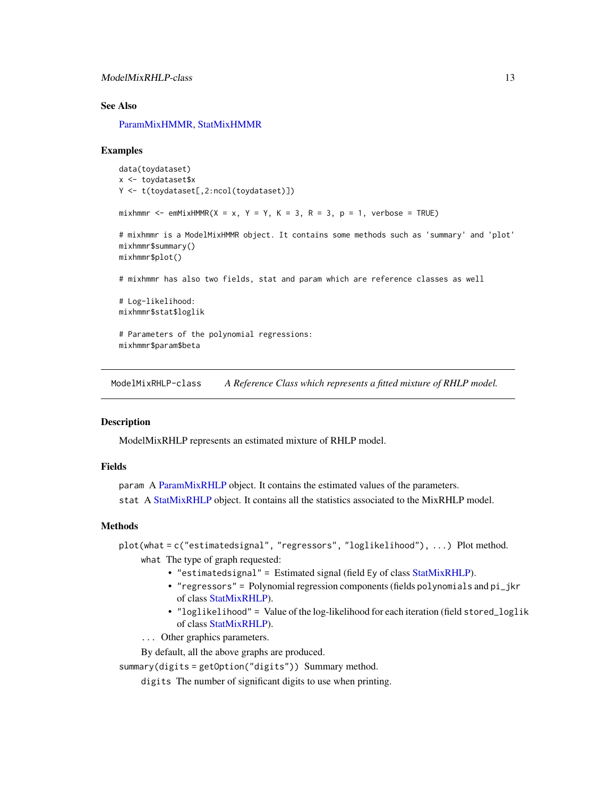<span id="page-12-0"></span>[ParamMixHMMR,](#page-14-1) [StatMixHMMR](#page-18-1)

#### Examples

```
data(toydataset)
x <- toydataset$x
Y <- t(toydataset[,2:ncol(toydataset)])
mixhmmr \leq emMixHMMR(X = x, Y = Y, K = 3, R = 3, p = 1, verbose = TRUE)
# mixhmmr is a ModelMixHMMR object. It contains some methods such as 'summary' and 'plot'
mixhmmr$summary()
mixhmmr$plot()
# mixhmmr has also two fields, stat and param which are reference classes as well
# Log-likelihood:
mixhmmr$stat$loglik
# Parameters of the polynomial regressions:
mixhmmr$param$beta
```
ModelMixRHLP-class *A Reference Class which represents a fitted mixture of RHLP model.*

# <span id="page-12-1"></span>**Description**

ModelMixRHLP represents an estimated mixture of RHLP model.

#### Fields

param A [ParamMixRHLP](#page-15-1) object. It contains the estimated values of the parameters. stat A [StatMixRHLP](#page-19-1) object. It contains all the statistics associated to the MixRHLP model.

# Methods

plot(what = c("estimatedsignal", "regressors", "loglikelihood"), ...) Plot method. what The type of graph requested:

- "estimatedsignal" = Estimated signal (field Ey of class [StatMixRHLP\)](#page-19-1).
- "regressors" = Polynomial regression components (fields polynomials and pi\_jkr of class [StatMixRHLP\)](#page-19-1).
- "loglikelihood" = Value of the log-likelihood for each iteration (field stored\_loglik of class [StatMixRHLP\)](#page-19-1).
- ... Other graphics parameters.

By default, all the above graphs are produced.

summary(digits = getOption("digits")) Summary method.

digits The number of significant digits to use when printing.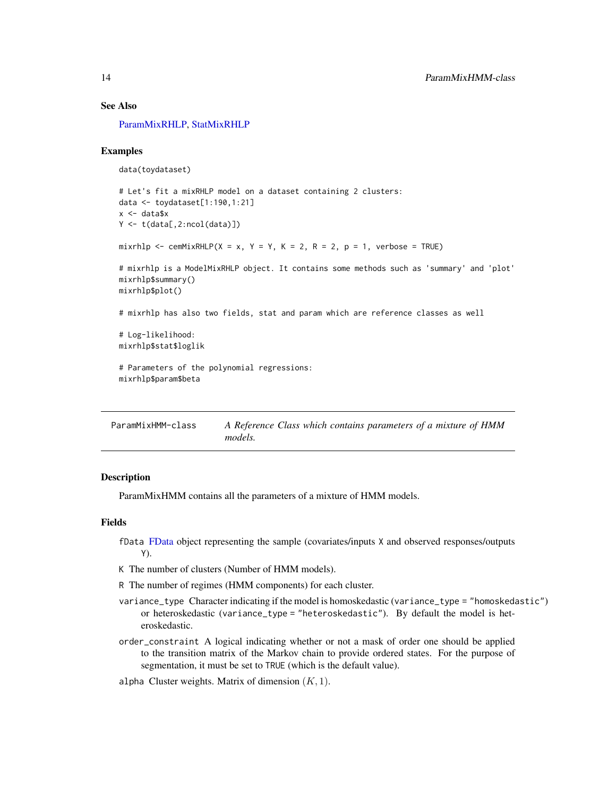<span id="page-13-0"></span>[ParamMixRHLP,](#page-15-1) [StatMixRHLP](#page-19-1)

# Examples

```
data(toydataset)
```

```
# Let's fit a mixRHLP model on a dataset containing 2 clusters:
data <- toydataset[1:190,1:21]
x <- data$x
Y \leftarrow t(data[, 2:ncol(data)]mixrhlp <- cemMixRHLP(X = x, Y = Y, K = 2, R = 2, p = 1, verbose = TRUE)
# mixrhlp is a ModelMixRHLP object. It contains some methods such as 'summary' and 'plot'
mixrhlp$summary()
mixrhlp$plot()
# mixrhlp has also two fields, stat and param which are reference classes as well
# Log-likelihood:
```
mixrhlp\$stat\$loglik

```
# Parameters of the polynomial regressions:
mixrhlp$param$beta
```

| ParamMixHMM-class | A Reference Class which contains parameters of a mixture of HMM |  |  |  |  |
|-------------------|-----------------------------------------------------------------|--|--|--|--|
|                   | <i>models.</i>                                                  |  |  |  |  |

#### <span id="page-13-1"></span>Description

ParamMixHMM contains all the parameters of a mixture of HMM models.

# Fields

- fData [FData](#page-9-1) object representing the sample (covariates/inputs X and observed responses/outputs Y).
- K The number of clusters (Number of HMM models).
- R The number of regimes (HMM components) for each cluster.
- variance\_type Character indicating if the model is homoskedastic (variance\_type = "homoskedastic") or heteroskedastic (variance\_type = "heteroskedastic"). By default the model is heteroskedastic.
- order\_constraint A logical indicating whether or not a mask of order one should be applied to the transition matrix of the Markov chain to provide ordered states. For the purpose of segmentation, it must be set to TRUE (which is the default value).

alpha Cluster weights. Matrix of dimension  $(K, 1)$ .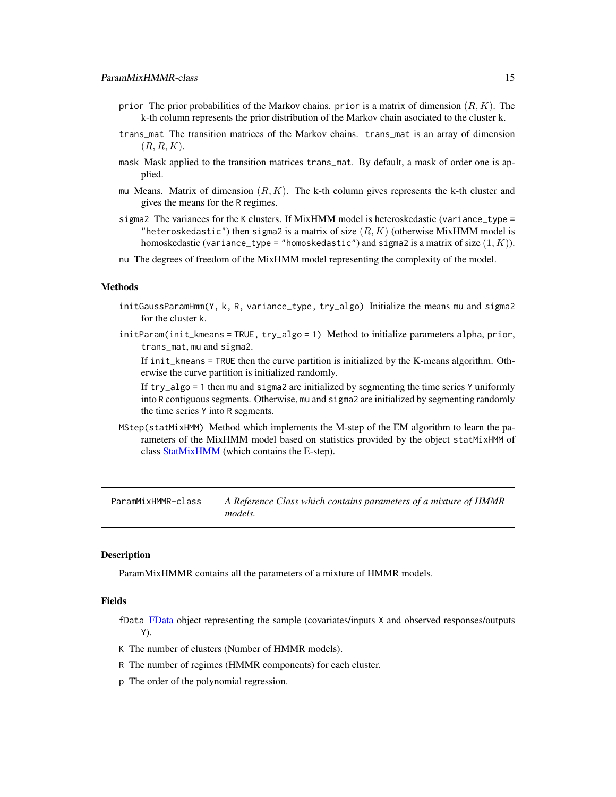- <span id="page-14-0"></span>prior The prior probabilities of the Markov chains. prior is a matrix of dimension  $(R, K)$ . The k-th column represents the prior distribution of the Markov chain asociated to the cluster k.
- trans\_mat The transition matrices of the Markov chains. trans\_mat is an array of dimension  $(R, R, K)$ .
- mask Mask applied to the transition matrices trans\_mat. By default, a mask of order one is applied.
- mu Means. Matrix of dimension  $(R, K)$ . The k-th column gives represents the k-th cluster and gives the means for the R regimes.
- sigma2 The variances for the K clusters. If MixHMM model is heteroskedastic (variance\_type = "heteroskedastic") then sigma2 is a matrix of size  $(R, K)$  (otherwise MixHMM model is homoskedastic (variance\_type = "homoskedastic") and sigma2 is a matrix of size  $(1, K)$ ).
- nu The degrees of freedom of the MixHMM model representing the complexity of the model.

# Methods

- initGaussParamHmm(Y, k, R, variance\_type, try\_algo) Initialize the means mu and sigma2 for the cluster k.
- initParam(init\_kmeans = TRUE, try\_algo = 1) Method to initialize parameters alpha, prior, trans\_mat, mu and sigma2.

If init\_kmeans = TRUE then the curve partition is initialized by the K-means algorithm. Otherwise the curve partition is initialized randomly.

If try\_algo = 1 then mu and sigma2 are initialized by segmenting the time series Y uniformly into R contiguous segments. Otherwise, mu and sigma2 are initialized by segmenting randomly the time series Y into R segments.

MStep(statMixHMM) Method which implements the M-step of the EM algorithm to learn the parameters of the MixHMM model based on statistics provided by the object statMixHMM of class [StatMixHMM](#page-17-1) (which contains the E-step).

ParamMixHMMR-class *A Reference Class which contains parameters of a mixture of HMMR models.*

# <span id="page-14-1"></span>**Description**

ParamMixHMMR contains all the parameters of a mixture of HMMR models.

# Fields

fData [FData](#page-9-1) object representing the sample (covariates/inputs X and observed responses/outputs Y).

- K The number of clusters (Number of HMMR models).
- R The number of regimes (HMMR components) for each cluster.
- p The order of the polynomial regression.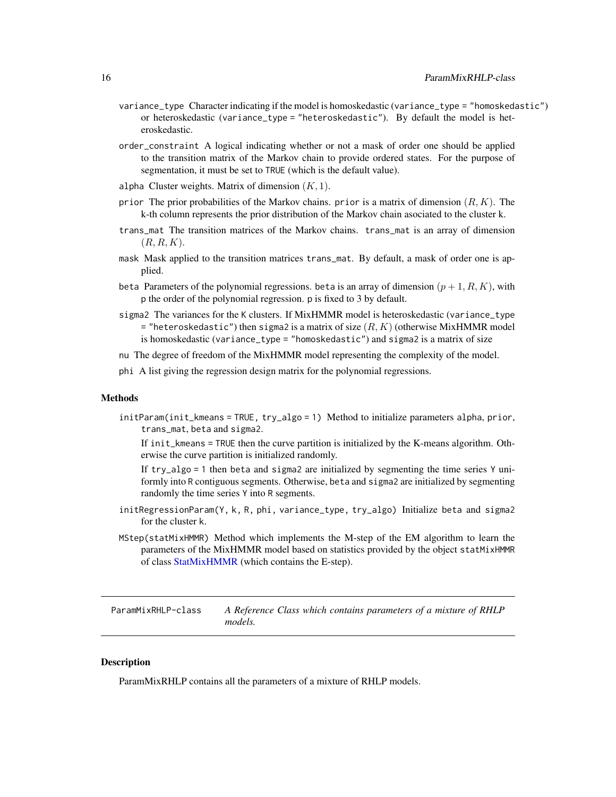- <span id="page-15-0"></span>variance\_type Character indicating if the model is homoskedastic (variance\_type = "homoskedastic") or heteroskedastic (variance\_type = "heteroskedastic"). By default the model is heteroskedastic.
- order\_constraint A logical indicating whether or not a mask of order one should be applied to the transition matrix of the Markov chain to provide ordered states. For the purpose of segmentation, it must be set to TRUE (which is the default value).
- alpha Cluster weights. Matrix of dimension  $(K, 1)$ .
- prior The prior probabilities of the Markov chains. prior is a matrix of dimension  $(R, K)$ . The k-th column represents the prior distribution of the Markov chain asociated to the cluster k.
- trans\_mat The transition matrices of the Markov chains. trans\_mat is an array of dimension  $(R, R, K)$ .
- mask Mask applied to the transition matrices trans\_mat. By default, a mask of order one is applied.
- beta Parameters of the polynomial regressions, beta is an array of dimension  $(p + 1, R, K)$ , with p the order of the polynomial regression. p is fixed to 3 by default.
- sigma2 The variances for the K clusters. If MixHMMR model is heteroskedastic (variance\_type  $=$  "heteroskedastic") then sigma2 is a matrix of size  $(R, K)$  (otherwise MixHMMR model is homoskedastic (variance\_type = "homoskedastic") and sigma2 is a matrix of size
- nu The degree of freedom of the MixHMMR model representing the complexity of the model.
- phi A list giving the regression design matrix for the polynomial regressions.

# Methods

initParam(init\_kmeans = TRUE, try\_algo = 1) Method to initialize parameters alpha, prior, trans\_mat, beta and sigma2.

If init\_kmeans = TRUE then the curve partition is initialized by the K-means algorithm. Otherwise the curve partition is initialized randomly.

If try\_algo = 1 then beta and sigma2 are initialized by segmenting the time series Y uniformly into R contiguous segments. Otherwise, beta and sigma2 are initialized by segmenting randomly the time series Y into R segments.

- initRegressionParam(Y, k, R, phi, variance\_type, try\_algo) Initialize beta and sigma2 for the cluster k.
- MStep(statMixHMMR) Method which implements the M-step of the EM algorithm to learn the parameters of the MixHMMR model based on statistics provided by the object statMixHMMR of class [StatMixHMMR](#page-18-1) (which contains the E-step).

ParamMixRHLP-class *A Reference Class which contains parameters of a mixture of RHLP models.*

# <span id="page-15-1"></span>**Description**

ParamMixRHLP contains all the parameters of a mixture of RHLP models.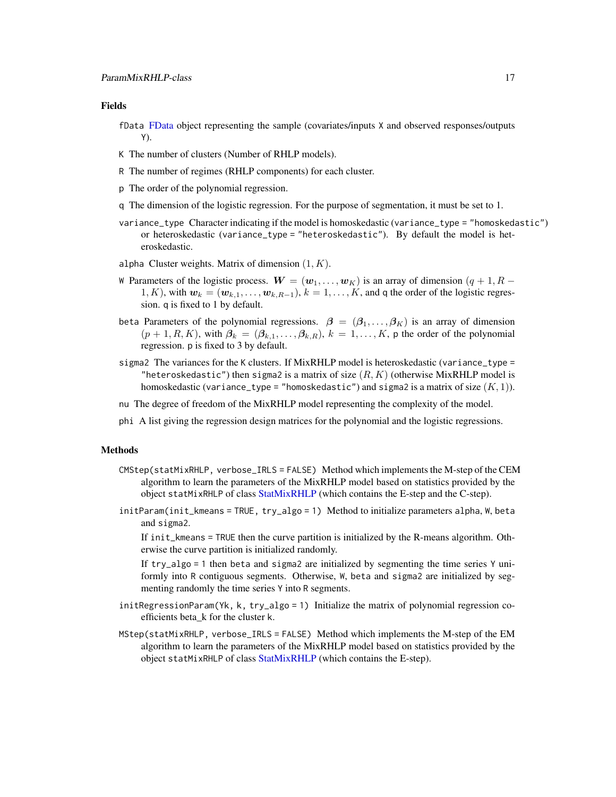# <span id="page-16-0"></span>Fields

- fData [FData](#page-9-1) object representing the sample (covariates/inputs X and observed responses/outputs Y).
- K The number of clusters (Number of RHLP models).
- R The number of regimes (RHLP components) for each cluster.
- p The order of the polynomial regression.
- q The dimension of the logistic regression. For the purpose of segmentation, it must be set to 1.
- variance\_type Character indicating if the model is homoskedastic (variance\_type = "homoskedastic") or heteroskedastic (variance\_type = "heteroskedastic"). By default the model is heteroskedastic.
- alpha Cluster weights. Matrix of dimension  $(1, K)$ .
- W Parameters of the logistic process.  $W = (\mathbf{w}_1, \dots, \mathbf{w}_K)$  is an array of dimension  $(q + 1, R 1)$ 1, K), with  $w_k = (w_{k,1}, \ldots, w_{k,R-1}), k = 1, \ldots, K$ , and q the order of the logistic regression. q is fixed to 1 by default.
- beta Parameters of the polynomial regressions.  $\beta = (\beta_1, \ldots, \beta_K)$  is an array of dimension  $(p+1, R, K)$ , with  $\beta_k = (\beta_{k,1}, \ldots, \beta_{k,R}), k = 1, \ldots, K$ , p the order of the polynomial regression. p is fixed to 3 by default.
- sigma2 The variances for the K clusters. If MixRHLP model is heteroskedastic (variance\_type = "heteroskedastic") then sigma2 is a matrix of size  $(R, K)$  (otherwise MixRHLP model is homoskedastic (variance\_type = "homoskedastic") and sigma2 is a matrix of size  $(K, 1)$ ).
- nu The degree of freedom of the MixRHLP model representing the complexity of the model.
- phi A list giving the regression design matrices for the polynomial and the logistic regressions.

#### Methods

- CMStep(statMixRHLP, verbose\_IRLS = FALSE) Method which implements the M-step of the CEM algorithm to learn the parameters of the MixRHLP model based on statistics provided by the object statMixRHLP of class [StatMixRHLP](#page-19-1) (which contains the E-step and the C-step).
- initParam(init\_kmeans = TRUE, try\_algo = 1) Method to initialize parameters alpha, W, beta and sigma2.

If init\_kmeans = TRUE then the curve partition is initialized by the R-means algorithm. Otherwise the curve partition is initialized randomly.

If try\_algo = 1 then beta and sigma2 are initialized by segmenting the time series Y uniformly into R contiguous segments. Otherwise, W, beta and sigma2 are initialized by segmenting randomly the time series Y into R segments.

- initRegressionParam(Yk, k, try\_algo = 1) Initialize the matrix of polynomial regression coefficients beta\_k for the cluster k.
- MStep(statMixRHLP, verbose\_IRLS = FALSE) Method which implements the M-step of the EM algorithm to learn the parameters of the MixRHLP model based on statistics provided by the object statMixRHLP of class [StatMixRHLP](#page-19-1) (which contains the E-step).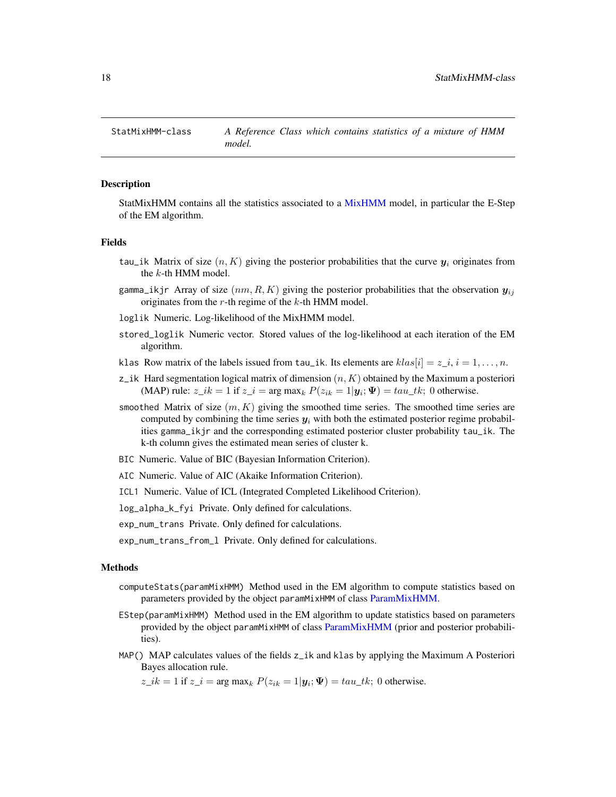<span id="page-17-0"></span>

# <span id="page-17-1"></span>**Description**

StatMixHMM contains all the statistics associated to a [MixHMM](#page-13-1) model, in particular the E-Step of the EM algorithm.

# Fields

- tau\_ik Matrix of size  $(n, K)$  giving the posterior probabilities that the curve  $y_i$  originates from the k-th HMM model.
- gamma<sub>l</sub>ikjr Array of size  $(nm, R, K)$  giving the posterior probabilities that the observation  $y_{ij}$ originates from the  $r$ -th regime of the  $k$ -th HMM model.
- loglik Numeric. Log-likelihood of the MixHMM model.
- stored\_loglik Numeric vector. Stored values of the log-likelihood at each iteration of the EM algorithm.
- klas Row matrix of the labels issued from tau\_ik. Its elements are  $klas[i] = z_{i}, i = 1, ..., n$ .
- z\_ik Hard segmentation logical matrix of dimension  $(n, K)$  obtained by the Maximum a posteriori (MAP) rule:  $z_{\perp}ik = 1$  if  $z_{\perp}i = \arg \max_k P(z_{ik} = 1 | \mathbf{y}_i; \Psi) = tau_{\perp}tk$ ; 0 otherwise.
- smoothed Matrix of size  $(m, K)$  giving the smoothed time series. The smoothed time series are computed by combining the time series  $y_i$  with both the estimated posterior regime probabilities gamma\_ikjr and the corresponding estimated posterior cluster probability tau\_ik. The k-th column gives the estimated mean series of cluster k.
- BIC Numeric. Value of BIC (Bayesian Information Criterion).
- AIC Numeric. Value of AIC (Akaike Information Criterion).
- ICL1 Numeric. Value of ICL (Integrated Completed Likelihood Criterion).

log\_alpha\_k\_fyi Private. Only defined for calculations.

- exp\_num\_trans Private. Only defined for calculations.
- exp\_num\_trans\_from\_l Private. Only defined for calculations.

#### Methods

- computeStats(paramMixHMM) Method used in the EM algorithm to compute statistics based on parameters provided by the object paramMixHMM of class [ParamMixHMM.](#page-13-1)
- EStep(paramMixHMM) Method used in the EM algorithm to update statistics based on parameters provided by the object paramMixHMM of class [ParamMixHMM](#page-13-1) (prior and posterior probabilities).
- MAP() MAP calculates values of the fields  $z_{i}$  and klas by applying the Maximum A Posteriori Bayes allocation rule.

 $z_{\perp}ik = 1$  if  $z_{\perp}i = \arg \max_k P(z_{ik} = 1 | \mathbf{y}_i; \Psi) = tau_{\perp}tk$ ; 0 otherwise.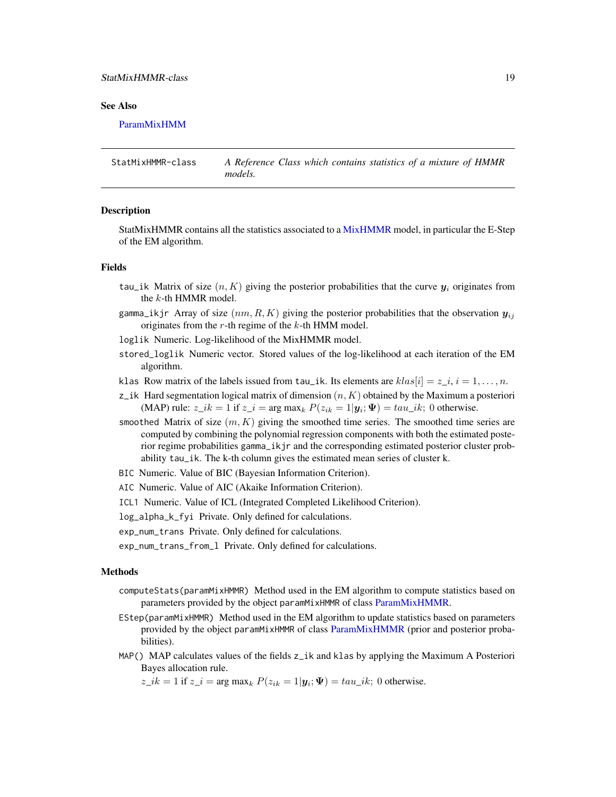# <span id="page-18-0"></span>StatMixHMMR-class 19

# See Also

[ParamMixHMM](#page-13-1)

StatMixHMMR-class *A Reference Class which contains statistics of a mixture of HMMR models.*

#### <span id="page-18-1"></span>Description

StatMixHMMR contains all the statistics associated to a [MixHMMR](#page-14-1) model, in particular the E-Step of the EM algorithm.

#### Fields

- tau\_ik Matrix of size  $(n, K)$  giving the posterior probabilities that the curve  $y_i$  originates from the k-th HMMR model.
- gamma\_ikjr Array of size  $(nm, R, K)$  giving the posterior probabilities that the observation  $y_{ij}$ originates from the  $r$ -th regime of the  $k$ -th HMM model.
- loglik Numeric. Log-likelihood of the MixHMMR model.
- stored\_loglik Numeric vector. Stored values of the log-likelihood at each iteration of the EM algorithm.
- klas Row matrix of the labels issued from tau\_ik. Its elements are  $klas[i] = z_{i}, i = 1, ..., n$ .
- $z_i$  Hard segmentation logical matrix of dimension  $(n, K)$  obtained by the Maximum a posteriori (MAP) rule:  $z_{\perp}ik = 1$  if  $z_{\perp}i = \arg \max_k P(z_{ik} = 1 | \mathbf{y}_i; \Psi) = \tan_{\perp}ik$ ; 0 otherwise.
- smoothed Matrix of size  $(m, K)$  giving the smoothed time series. The smoothed time series are computed by combining the polynomial regression components with both the estimated posterior regime probabilities gamma\_ikjr and the corresponding estimated posterior cluster probability tau\_ik. The k-th column gives the estimated mean series of cluster k.
- BIC Numeric. Value of BIC (Bayesian Information Criterion).
- AIC Numeric. Value of AIC (Akaike Information Criterion).
- ICL1 Numeric. Value of ICL (Integrated Completed Likelihood Criterion).
- log\_alpha\_k\_fyi Private. Only defined for calculations.
- exp\_num\_trans Private. Only defined for calculations.
- exp\_num\_trans\_from\_l Private. Only defined for calculations.

#### Methods

- computeStats(paramMixHMMR) Method used in the EM algorithm to compute statistics based on parameters provided by the object paramMixHMMR of class [ParamMixHMMR.](#page-14-1)
- EStep(paramMixHMMR) Method used in the EM algorithm to update statistics based on parameters provided by the object paramMixHMMR of class [ParamMixHMMR](#page-14-1) (prior and posterior probabilities).
- MAP() MAP calculates values of the fields z\_ik and klas by applying the Maximum A Posteriori Bayes allocation rule.

 $z_{\perp}$ ik = 1 if  $z_{\perp}$ i = arg max<sub>k</sub>  $P(z_{ik} = 1 | \mathbf{y}_i; \mathbf{\Psi}) = \tau_i$ au\_ik; 0 otherwise.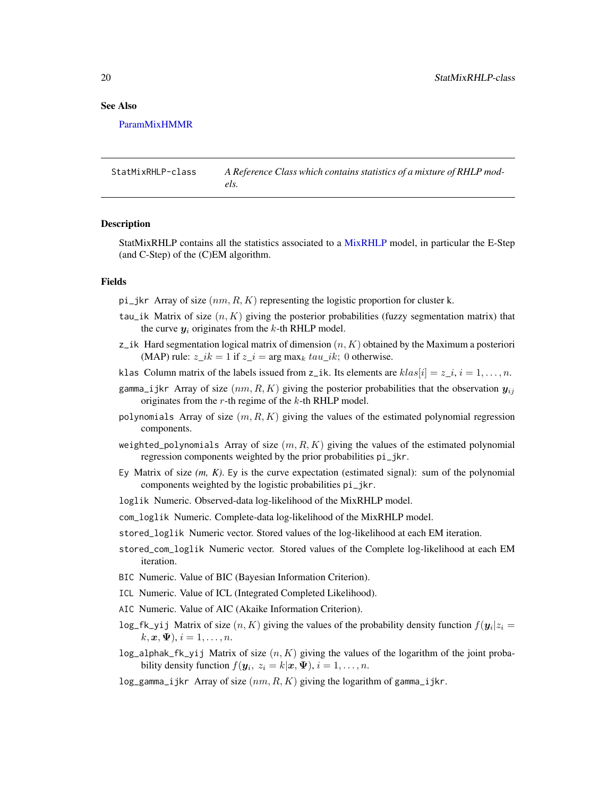<span id="page-19-0"></span>[ParamMixHMMR](#page-14-1)

StatMixRHLP-class *A Reference Class which contains statistics of a mixture of RHLP models.*

#### <span id="page-19-1"></span>**Description**

StatMixRHLP contains all the statistics associated to a [MixRHLP](#page-15-1) model, in particular the E-Step (and C-Step) of the (C)EM algorithm.

# Fields

pi\_jkr Array of size  $(nm, R, K)$  representing the logistic proportion for cluster k.

- tau\_ik Matrix of size  $(n, K)$  giving the posterior probabilities (fuzzy segmentation matrix) that the curve  $y_i$  originates from the k-th RHLP model.
- z\_ik Hard segmentation logical matrix of dimension  $(n, K)$  obtained by the Maximum a posteriori (MAP) rule:  $z_{\perp}ik = 1$  if  $z_{\perp}i = \arg \max_k tau_{\perp}ik$ ; 0 otherwise.
- klas Column matrix of the labels issued from z\_ik. Its elements are  $klas[i] = z_{i}, i = 1, ..., n$ .
- gamma<sub>ijkr</sub> Array of size  $(nm, R, K)$  giving the posterior probabilities that the observation  $y_{ij}$ originates from the  $r$ -th regime of the  $k$ -th RHLP model.
- polynomials Array of size  $(m, R, K)$  giving the values of the estimated polynomial regression components.
- weighted\_polynomials Array of size  $(m, R, K)$  giving the values of the estimated polynomial regression components weighted by the prior probabilities pi\_jkr.
- Ey Matrix of size *(m, K)*. Ey is the curve expectation (estimated signal): sum of the polynomial components weighted by the logistic probabilities pi\_jkr.
- loglik Numeric. Observed-data log-likelihood of the MixRHLP model.

com\_loglik Numeric. Complete-data log-likelihood of the MixRHLP model.

- stored\_loglik Numeric vector. Stored values of the log-likelihood at each EM iteration.
- stored\_com\_loglik Numeric vector. Stored values of the Complete log-likelihood at each EM iteration.
- BIC Numeric. Value of BIC (Bayesian Information Criterion).
- ICL Numeric. Value of ICL (Integrated Completed Likelihood).
- AIC Numeric. Value of AIC (Akaike Information Criterion).
- $log_f k$ -yij Matrix of size  $(n, K)$  giving the values of the probability density function  $f(\mathbf{y}_i | z_i =$  $k, \mathbf{x}, \mathbf{\Psi}$ ,  $i = 1, \ldots, n$ .
- log\_alphak\_fk\_yij Matrix of size  $(n, K)$  giving the values of the logarithm of the joint probability density function  $f(\mathbf{y}_i, z_i = k | \mathbf{x}, \mathbf{\Psi}), i = 1, \dots, n$ .
- log\_gamma\_ijkr Array of size  $(nm, R, K)$  giving the logarithm of gamma\_ijkr.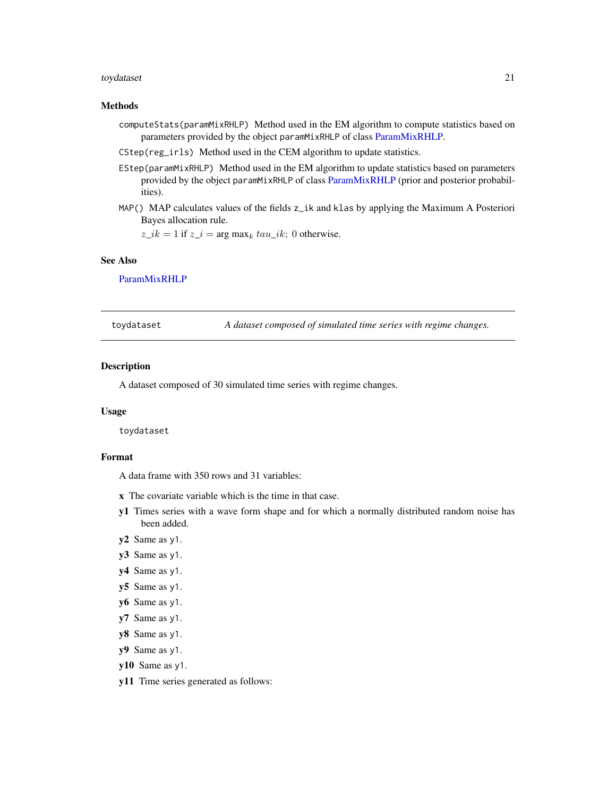#### <span id="page-20-0"></span>toydataset 21

# Methods

- computeStats(paramMixRHLP) Method used in the EM algorithm to compute statistics based on parameters provided by the object paramMixRHLP of class [ParamMixRHLP.](#page-15-1)
- CStep(reg\_irls) Method used in the CEM algorithm to update statistics.
- EStep(paramMixRHLP) Method used in the EM algorithm to update statistics based on parameters provided by the object paramMixRHLP of class [ParamMixRHLP](#page-15-1) (prior and posterior probabilities).
- MAP() MAP calculates values of the fields z\_ik and klas by applying the Maximum A Posteriori Bayes allocation rule.

 $z_ik = 1$  if  $z_i = \arg \max_k tau_ik$ ; 0 otherwise.

# See Also

[ParamMixRHLP](#page-15-1)

| toydataset | A dataset composed of simulated time series with regime changes. |  |
|------------|------------------------------------------------------------------|--|
|------------|------------------------------------------------------------------|--|

# Description

A dataset composed of 30 simulated time series with regime changes.

#### Usage

toydataset

#### Format

A data frame with 350 rows and 31 variables:

- x The covariate variable which is the time in that case.
- y1 Times series with a wave form shape and for which a normally distributed random noise has been added.
- y2 Same as y1.
- y3 Same as y1.
- y4 Same as y1.
- y5 Same as y1.
- y6 Same as y1.
- y7 Same as y1.
- y8 Same as y1.
- y9 Same as y1.
- y10 Same as y1.
- y11 Time series generated as follows: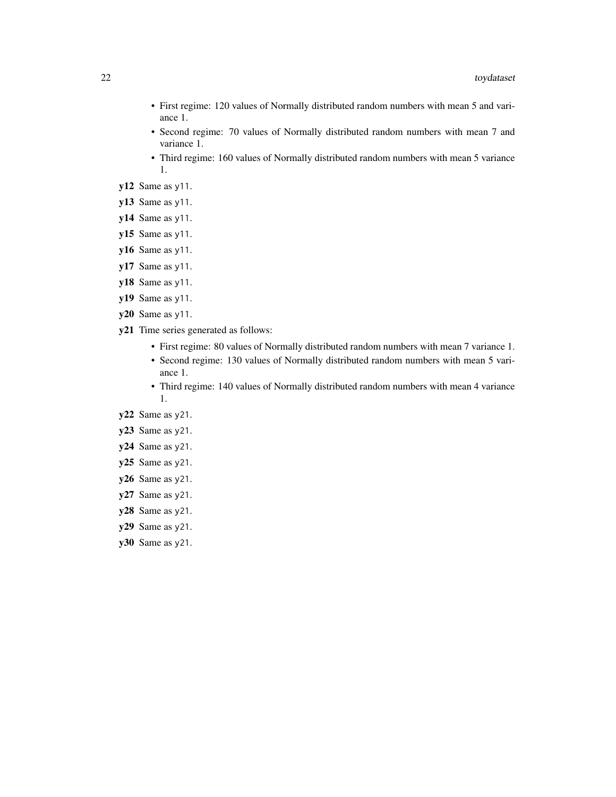- First regime: 120 values of Normally distributed random numbers with mean 5 and variance 1.
- Second regime: 70 values of Normally distributed random numbers with mean 7 and variance 1.
- Third regime: 160 values of Normally distributed random numbers with mean 5 variance 1.
- y12 Same as y11.
- y13 Same as y11.
- y14 Same as y11.
- y15 Same as y11.
- y16 Same as y11.
- y17 Same as y11.
- y18 Same as y11.
- y19 Same as y11.
- y20 Same as y11.
- y21 Time series generated as follows:
	- First regime: 80 values of Normally distributed random numbers with mean 7 variance 1.
	- Second regime: 130 values of Normally distributed random numbers with mean 5 variance 1.
	- Third regime: 140 values of Normally distributed random numbers with mean 4 variance 1.
- y22 Same as y21.
- y23 Same as y21.
- y24 Same as y21.
- y25 Same as y21.
- y26 Same as y21.
- y27 Same as y21.
- y28 Same as y21.
- y29 Same as y21.
- y30 Same as y21.